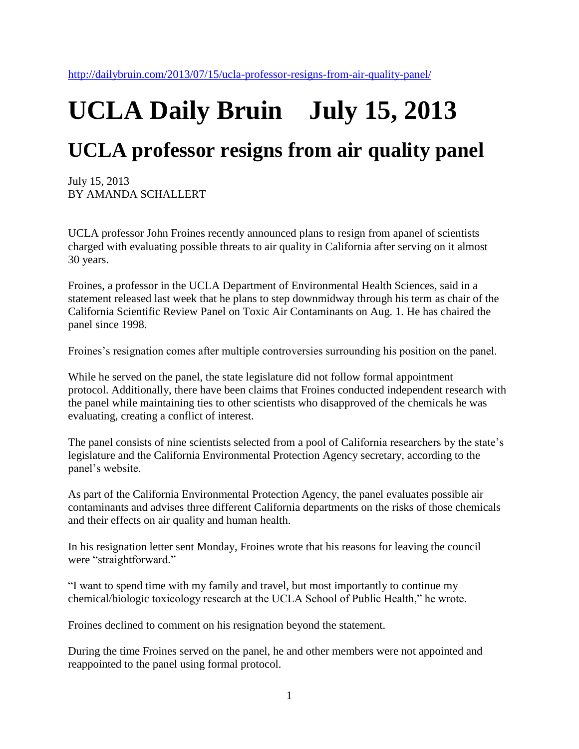# **UCLA Daily Bruin July 15, 2013**

### **UCLA professor resigns from air quality panel**

July 15, 2013 BY AMANDA SCHALLERT

UCLA professor John Froines recently announced plans to resign from apanel of scientists charged with evaluating possible threats to air quality in California after serving on it almost 30 years.

Froines, a professor in the UCLA Department of Environmental Health Sciences, said in a statement released last week that he plans to step downmidway through his term as chair of the California Scientific Review Panel on Toxic Air Contaminants on Aug. 1. He has chaired the panel since 1998.

Froines's resignation comes after multiple controversies surrounding his position on the panel.

While he served on the panel, the state legislature did not follow formal appointment protocol. Additionally, there have been claims that Froines conducted independent research with the panel while maintaining ties to other scientists who disapproved of the chemicals he was evaluating, creating a conflict of interest.

The panel consists of nine scientists selected from a pool of California researchers by the state's legislature and the California Environmental Protection Agency secretary, according to the panel's website.

As part of the California Environmental Protection Agency, the panel evaluates possible air contaminants and advises three different California departments on the risks of those chemicals and their effects on air quality and human health.

In his resignation letter sent Monday, Froines wrote that his reasons for leaving the council were "straightforward."

"I want to spend time with my family and travel, but most importantly to continue my chemical/biologic toxicology research at the UCLA School of Public Health," he wrote.

Froines declined to comment on his resignation beyond the statement.

During the time Froines served on the panel, he and other members were not appointed and reappointed to the panel using formal protocol.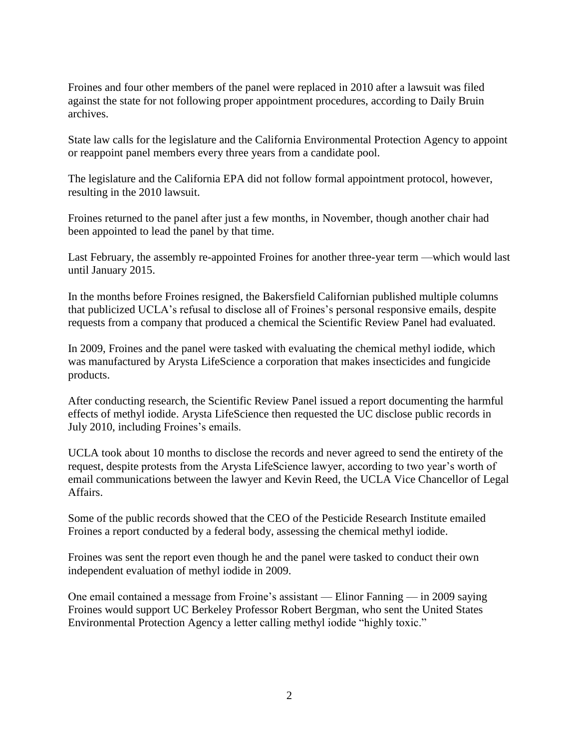Froines and four other members of the panel were replaced in 2010 after a lawsuit was filed against the state for not following proper appointment procedures, according to Daily Bruin archives.

State law calls for the legislature and the California Environmental Protection Agency to appoint or reappoint panel members every three years from a candidate pool.

The legislature and the California EPA did not follow formal appointment protocol, however, resulting in the 2010 lawsuit.

Froines returned to the panel after just a few months, in November, though another chair had been appointed to lead the panel by that time.

Last February, the assembly re-appointed Froines for another three-year term —which would last until January 2015.

In the months before Froines resigned, the Bakersfield Californian published multiple columns that publicized UCLA's refusal to disclose all of Froines's personal responsive emails, despite requests from a company that produced a chemical the Scientific Review Panel had evaluated.

In 2009, Froines and the panel were tasked with evaluating the chemical methyl iodide, which was manufactured by Arysta LifeScience a corporation that makes insecticides and fungicide products.

After conducting research, the Scientific Review Panel issued a report documenting the harmful effects of methyl iodide. Arysta LifeScience then requested the UC disclose public records in July 2010, including Froines's emails.

UCLA took about 10 months to disclose the records and never agreed to send the entirety of the request, despite protests from the Arysta LifeScience lawyer, according to two year's worth of email communications between the lawyer and Kevin Reed, the UCLA Vice Chancellor of Legal Affairs.

Some of the public records showed that the CEO of the Pesticide Research Institute emailed Froines a report conducted by a federal body, assessing the chemical methyl iodide.

Froines was sent the report even though he and the panel were tasked to conduct their own independent evaluation of methyl iodide in 2009.

One email contained a message from Froine's assistant — Elinor Fanning — in 2009 saying Froines would support UC Berkeley Professor Robert Bergman, who sent the United States Environmental Protection Agency a letter calling methyl iodide "highly toxic."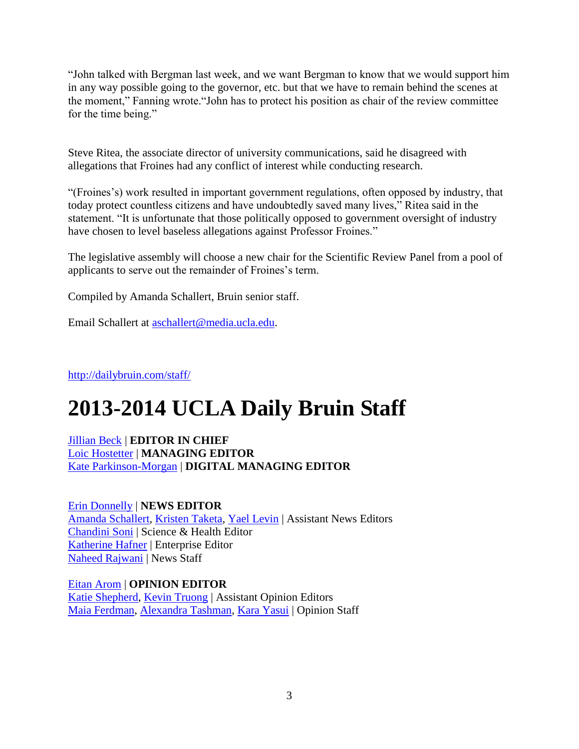"John talked with Bergman last week, and we want Bergman to know that we would support him in any way possible going to the governor, etc. but that we have to remain behind the scenes at the moment," Fanning wrote."John has to protect his position as chair of the review committee for the time being."

Steve Ritea, the associate director of university communications, said he disagreed with allegations that Froines had any conflict of interest while conducting research.

"(Froines's) work resulted in important government regulations, often opposed by industry, that today protect countless citizens and have undoubtedly saved many lives," Ritea said in the statement. "It is unfortunate that those politically opposed to government oversight of industry have chosen to level baseless allegations against Professor Froines."

The legislative assembly will choose a new chair for the Scientific Review Panel from a pool of applicants to serve out the remainder of Froines's term.

Compiled by Amanda Schallert, Bruin senior staff.

Email Schallert at [aschallert@media.ucla.edu.](mailto:aschallert@media.ucla.edu)

<http://dailybruin.com/staff/>

## **2013-2014 UCLA Daily Bruin Staff**

[Jillian Beck](mailto:jbeck@media.ucla.edu) | **EDITOR IN CHIEF** [Loic Hostetter](mailto:lhostetter@media.ucla.edu) | **MANAGING EDITOR** [Kate Parkinson-Morgan](mailto:kparkinsonmorgan@media.ucla.edu) | **DIGITAL MANAGING EDITO[R](mailto:asherrard@media.ucla.edu)**

[Erin Donnelly](mailto:edonnelly@media.ucla.edu) | **NEWS EDITOR** [Amanda Schallert,](mailto:aschallert@media.ucla.edu) [Kristen Taketa,](mailto:ktaketa@media.ucla.edu) [Yael Levin](mailto:ylevin@media.ucla.edu) | Assistant News Editors [Chandini Soni](mailto:csoni@media.ucla.edu) | Science & Health Editor [Katherine Hafner](mailto:khafner@media.ucla.edu) | Enterprise Editor [Naheed Rajwani](mailto:nrajwani@media.ucla.edu) | News Staff

[Eitan Arom](mailto:darom@media.ucla.edu) | **OPINION EDITOR** [Katie Shepherd,](mailto:kshepherd@media.ucla.edu) [Kevin Truong](mailto:ktruong@media.ucla.edu) | Assistant Opinion Editors [Maia Ferdman,](mailto:mferdman@media.ucla.edu) [Alexandra Tashman,](mailto:atashman@media.ucla.edu) [Kara Yasui](mailto:kyasui@media.ucla.edu) | Opinion Staff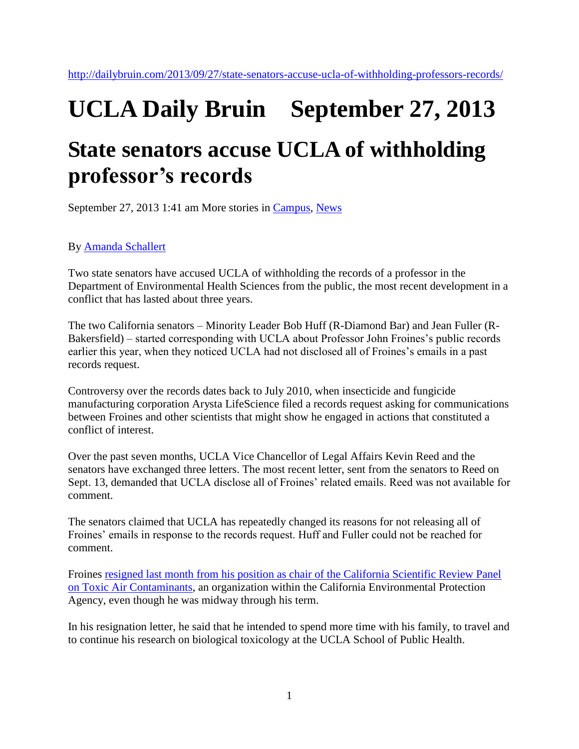## **UCLA Daily Bruin September 27, 2013 State senators accuse UCLA of withholding professor's records**

September 27, 2013 1:41 am More stories in [Campus,](http://dailybruin.com/category/news/campus/) [News](http://dailybruin.com/category/news/)

By [Amanda Schallert](http://dailybruin.com/author/aschallert/)

Two state senators have accused UCLA of withholding the records of a professor in the Department of Environmental Health Sciences from the public, the most recent development in a conflict that has lasted about three years.

The two California senators – Minority Leader Bob Huff (R-Diamond Bar) and Jean Fuller (R-Bakersfield) – started corresponding with UCLA about Professor John Froines's public records earlier this year, when they noticed UCLA had not disclosed all of Froines's emails in a past records request.

Controversy over the records dates back to July 2010, when insecticide and fungicide manufacturing corporation Arysta LifeScience filed a records request asking for communications between Froines and other scientists that might show he engaged in actions that constituted a conflict of interest.

Over the past seven months, UCLA Vice Chancellor of Legal Affairs Kevin Reed and the senators have exchanged three letters. The most recent letter, sent from the senators to Reed on Sept. 13, demanded that UCLA disclose all of Froines' related emails. Reed was not available for comment.

The senators claimed that UCLA has repeatedly changed its reasons for not releasing all of Froines' emails in response to the records request. Huff and Fuller could not be reached for comment.

Froines [resigned last month from his position as chair of the California Scientific Review Panel](http://dailybruin.com/2013/07/15/ucla-professor-resigns-from-air-quality-panel/)  [on Toxic Air Contaminants,](http://dailybruin.com/2013/07/15/ucla-professor-resigns-from-air-quality-panel/) an organization within the California Environmental Protection Agency, even though he was midway through his term.

In his resignation letter, he said that he intended to spend more time with his family, to travel and to continue his research on biological toxicology at the UCLA School of Public Health.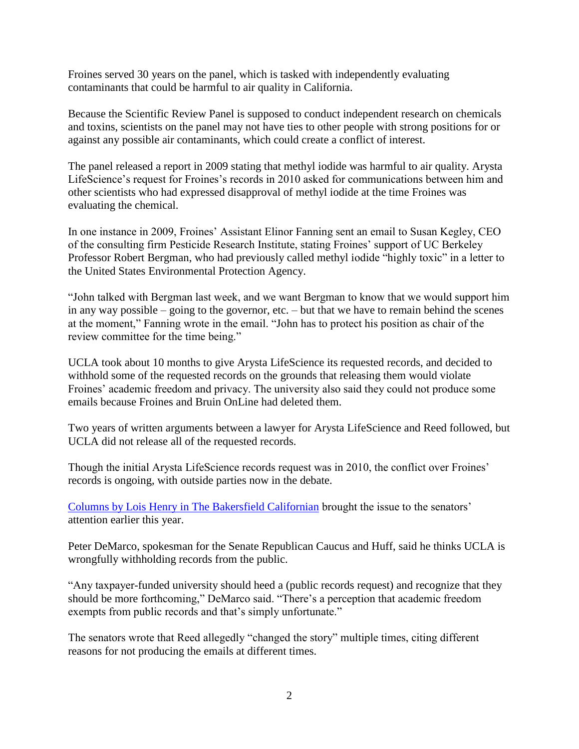Froines served 30 years on the panel, which is tasked with independently evaluating contaminants that could be harmful to air quality in California.

Because the Scientific Review Panel is supposed to conduct independent research on chemicals and toxins, scientists on the panel may not have ties to other people with strong positions for or against any possible air contaminants, which could create a conflict of interest.

The panel released a report in 2009 stating that methyl iodide was harmful to air quality. Arysta LifeScience's request for Froines's records in 2010 asked for communications between him and other scientists who had expressed disapproval of methyl iodide at the time Froines was evaluating the chemical.

In one instance in 2009, Froines' Assistant Elinor Fanning sent an email to Susan Kegley, CEO of the consulting firm Pesticide Research Institute, stating Froines' support of UC Berkeley Professor Robert Bergman, who had previously called methyl iodide "highly toxic" in a letter to the United States Environmental Protection Agency.

"John talked with Bergman last week, and we want Bergman to know that we would support him in any way possible – going to the governor, etc. – but that we have to remain behind the scenes at the moment," Fanning wrote in the email. "John has to protect his position as chair of the review committee for the time being."

UCLA took about 10 months to give Arysta LifeScience its requested records, and decided to withhold some of the requested records on the grounds that releasing them would violate Froines' academic freedom and privacy. The university also said they could not produce some emails because Froines and Bruin OnLine had deleted them.

Two years of written arguments between a lawyer for Arysta LifeScience and Reed followed, but UCLA did not release all of the requested records.

Though the initial Arysta LifeScience records request was in 2010, the conflict over Froines' records is ongoing, with outside parties now in the debate.

[Columns by Lois Henry in The Bakersfield Californian](http://www.bakersfieldcalifornian.com/health/x1322083219/The-ex-radical-who-heads-air-boards-key-panel) brought the issue to the senators' attention earlier this year.

Peter DeMarco, spokesman for the Senate Republican Caucus and Huff, said he thinks UCLA is wrongfully withholding records from the public.

"Any taxpayer-funded university should heed a (public records request) and recognize that they should be more forthcoming," DeMarco said. "There's a perception that academic freedom exempts from public records and that's simply unfortunate."

The senators wrote that Reed allegedly "changed the story" multiple times, citing different reasons for not producing the emails at different times.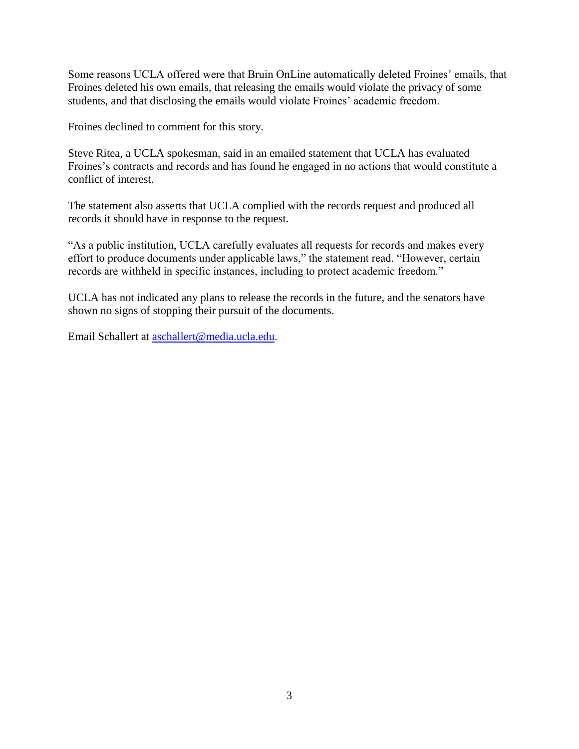Some reasons UCLA offered were that Bruin OnLine automatically deleted Froines' emails, that Froines deleted his own emails, that releasing the emails would violate the privacy of some students, and that disclosing the emails would violate Froines' academic freedom.

Froines declined to comment for this story.

Steve Ritea, a UCLA spokesman, said in an emailed statement that UCLA has evaluated Froines's contracts and records and has found he engaged in no actions that would constitute a conflict of interest.

The statement also asserts that UCLA complied with the records request and produced all records it should have in response to the request.

"As a public institution, UCLA carefully evaluates all requests for records and makes every effort to produce documents under applicable laws," the statement read. "However, certain records are withheld in specific instances, including to protect academic freedom."

UCLA has not indicated any plans to release the records in the future, and the senators have shown no signs of stopping their pursuit of the documents.

Email Schallert at [aschallert@media.ucla.edu.](mailto:aschallert@media.ucla.edu)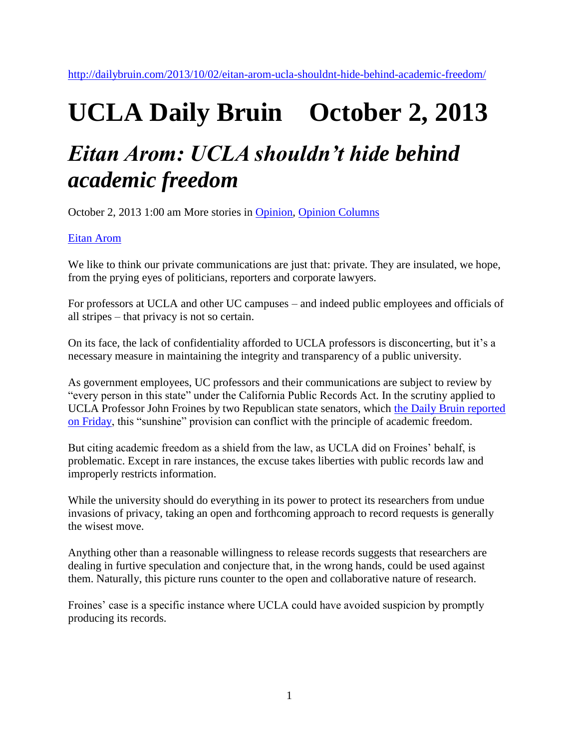# **UCLA Daily Bruin October 2, 2013** *Eitan Arom: UCLA shouldn't hide behind academic freedom*

October 2, 2013 1:00 am More stories in [Opinion,](http://dailybruin.com/category/opinion/) [Opinion Columns](http://dailybruin.com/category/opinion/opinion-columns/)

#### [Eitan Arom](http://dailybruin.com/author/camayak_25/)

We like to think our private communications are just that: private. They are insulated, we hope, from the prying eyes of politicians, reporters and corporate lawyers.

For professors at UCLA and other UC campuses – and indeed public employees and officials of all stripes – that privacy is not so certain.

On its face, the lack of confidentiality afforded to UCLA professors is disconcerting, but it's a necessary measure in maintaining the integrity and transparency of a public university.

As government employees, UC professors and their communications are subject to review by "every person in this state" under the California Public Records Act. In the scrutiny applied to UCLA Professor John Froines by two Republican state senators, which [the Daily Bruin reported](http://dailybruin.com/2013/09/27/state-senators-accuse-ucla-of-withholding-professors-records/)  [on Friday,](http://dailybruin.com/2013/09/27/state-senators-accuse-ucla-of-withholding-professors-records/) this "sunshine" provision can conflict with the principle of academic freedom.

But citing academic freedom as a shield from the law, as UCLA did on Froines' behalf, is problematic. Except in rare instances, the excuse takes liberties with public records law and improperly restricts information.

While the university should do everything in its power to protect its researchers from undue invasions of privacy, taking an open and forthcoming approach to record requests is generally the wisest move.

Anything other than a reasonable willingness to release records suggests that researchers are dealing in furtive speculation and conjecture that, in the wrong hands, could be used against them. Naturally, this picture runs counter to the open and collaborative nature of research.

Froines' case is a specific instance where UCLA could have avoided suspicion by promptly producing its records.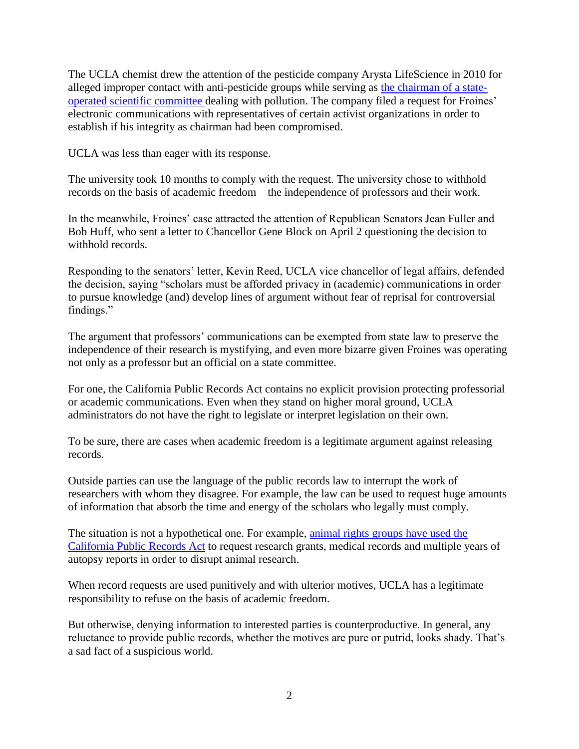The UCLA chemist drew the attention of the pesticide company Arysta LifeScience in 2010 for alleged improper contact with anti-pesticide groups while serving as [the chairman of a state](http://dailybruin.com/2013/07/15/ucla-professor-resigns-from-air-quality-panel/)[operated scientific committee d](http://dailybruin.com/2013/07/15/ucla-professor-resigns-from-air-quality-panel/)ealing with pollution. The company filed a request for Froines' electronic communications with representatives of certain activist organizations in order to establish if his integrity as chairman had been compromised.

UCLA was less than eager with its response.

The university took 10 months to comply with the request. The university chose to withhold records on the basis of academic freedom – the independence of professors and their work.

In the meanwhile, Froines' case attracted the attention of Republican Senators Jean Fuller and Bob Huff, who sent a letter to Chancellor Gene Block on April 2 questioning the decision to withhold records.

Responding to the senators' letter, Kevin Reed, UCLA vice chancellor of legal affairs, defended the decision, saying "scholars must be afforded privacy in (academic) communications in order to pursue knowledge (and) develop lines of argument without fear of reprisal for controversial findings."

The argument that professors' communications can be exempted from state law to preserve the independence of their research is mystifying, and even more bizarre given Froines was operating not only as a professor but an official on a state committee.

For one, the California Public Records Act contains no explicit provision protecting professorial or academic communications. Even when they stand on higher moral ground, UCLA administrators do not have the right to legislate or interpret legislation on their own.

To be sure, there are cases when academic freedom is a legitimate argument against releasing records.

Outside parties can use the language of the public records law to interrupt the work of researchers with whom they disagree. For example, the law can be used to request huge amounts of information that absorb the time and energy of the scholars who legally must comply.

The situation is not a hypothetical one. For example, [animal rights groups have used the](http://dailybruin.com/2013/02/28/task-force-tackles-concerns-on-public-records-requests/)  [California Public Records Act](http://dailybruin.com/2013/02/28/task-force-tackles-concerns-on-public-records-requests/) to request research grants, medical records and multiple years of autopsy reports in order to disrupt animal research.

When record requests are used punitively and with ulterior motives, UCLA has a legitimate responsibility to refuse on the basis of academic freedom.

But otherwise, denying information to interested parties is counterproductive. In general, any reluctance to provide public records, whether the motives are pure or putrid, looks shady. That's a sad fact of a suspicious world.